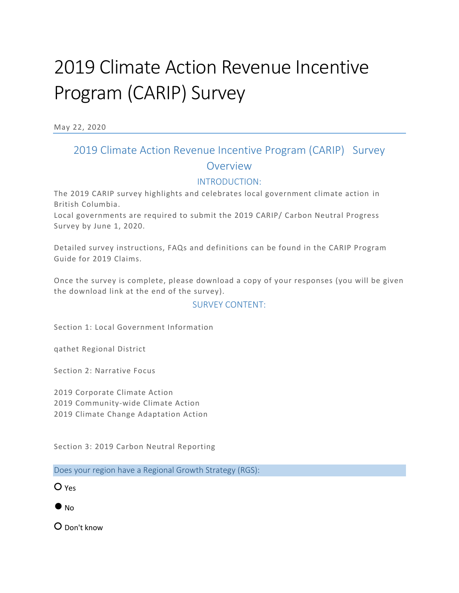# 2019 Climate Action Revenue Incentive Program (CARIP) Survey

May 22, 2020

## 2019 Climate Action Revenue Incentive Program (CARIP) Survey Overview

#### INTRODUCTION:

The 2019 CARIP survey highlights and celebrates local government climate action in British Columbia.

Local governments are required to submit the 2019 CARIP/ Carbon Neutral Progress Survey by June 1, 2020.

Detailed survey instructions, FAQs and definitions can be found in the CARIP Program Guide for 2019 Claims.

Once the survey is complete, please download a copy of your responses (you will be given the download link at the end of the survey).

#### SURVEY CONTENT:

Section 1: Local Government Information

qathet Regional District

Section 2: Narrative Focus

2019 Corporate Climate Action 2019 Community-wide Climate Action 2019 Climate Change Adaptation Action

Section 3: 2019 Carbon Neutral Reporting

Does your region have a Regional Growth Strategy (RGS):

○ Yes

 $\bullet$  No

○ Don't know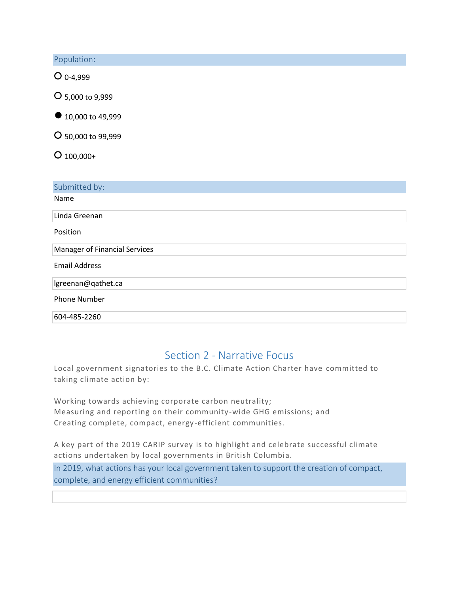Population:

○ 0-4,999

○ 5,000 to 9,999

● 10,000 to 49,999

○ 50,000 to 99,999

 $O$  100,000+

| Submitted by:                        |
|--------------------------------------|
| Name                                 |
| Linda Greenan                        |
| Position                             |
| <b>Manager of Financial Services</b> |
| <b>Email Address</b>                 |
| lgreenan@qathet.ca                   |
| <b>Phone Number</b>                  |
| 604-485-2260                         |

## Section 2 - Narrative Focus

Local government signatories to the B.C. Climate Action Charter have committed to taking climate action by:

Working towards achieving corporate carbon neutrality; Measuring and reporting on their community -wide GHG emissions; and Creating complete, compact, energy-efficient communities.

A key part of the 2019 CARIP survey is to highlight and celebrate successful climate actions undertaken by local governments in British Columbia. In 2019, what actions has your local government taken to support the creation of compact,

complete, and energy efficient communities?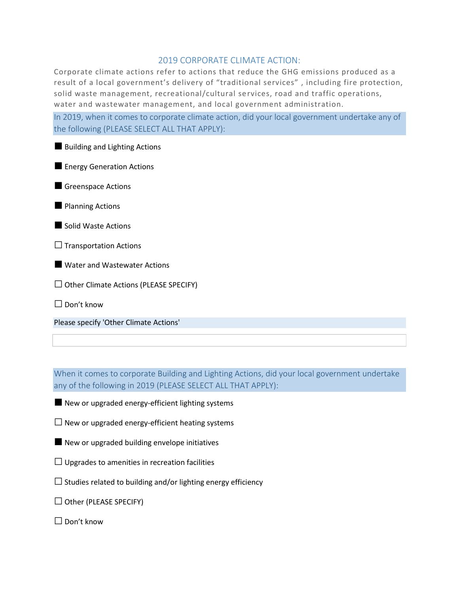#### 2019 CORPORATE CLIMATE ACTION:

Corporate climate actions refer to actions that reduce the GHG emissions produced as a result of a local government's delivery of "traditional services" , including fire protection, solid waste management, recreational/cultural services, road and traffic operations, water and wastewater management, and local government administration.

In 2019, when it comes to corporate climate action, did your local government undertake any of the following (PLEASE SELECT ALL THAT APPLY):

■ Building and Lighting Actions

**Energy Generation Actions** 

■ Greenspace Actions

**Planning Actions** 

■Solid Waste Actions

 $\Box$  Transportation Actions

■ Water and Wastewater Actions

 $\Box$  Other Climate Actions (PLEASE SPECIFY)

□ Don't know

Please specify 'Other Climate Actions'

When it comes to corporate Building and Lighting Actions, did your local government undertake any of the following in 2019 (PLEASE SELECT ALL THAT APPLY):

■ New or upgraded energy-efficient lighting systems

 $\Box$  New or upgraded energy-efficient heating systems

■ New or upgraded building envelope initiatives

 $\Box$  Upgrades to amenities in recreation facilities

 $\square$  Studies related to building and/or lighting energy efficiency

 $\Box$  Other (PLEASE SPECIFY)

 $\square$  Don't know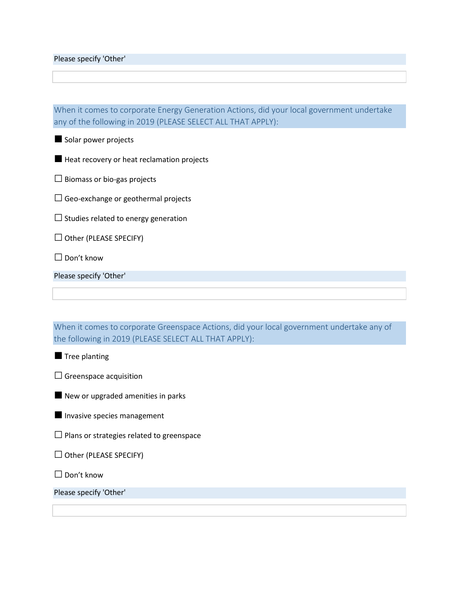Please specify 'Other'

When it comes to corporate Energy Generation Actions, did your local government undertake any of the following in 2019 (PLEASE SELECT ALL THAT APPLY):

■ Solar power projects

■ Heat recovery or heat reclamation projects

 $\square$  Biomass or bio-gas projects

 $\square$  Geo-exchange or geothermal projects

 $\square$  Studies related to energy generation

 $\Box$  Other (PLEASE SPECIFY)

 $\Box$  Don't know

Please specify 'Other'

When it comes to corporate Greenspace Actions, did your local government undertake any of the following in 2019 (PLEASE SELECT ALL THAT APPLY):

**Tree planting** 

 $\square$  Greenspace acquisition

■ New or upgraded amenities in parks

**Invasive species management** 

 $\square$  Plans or strategies related to greenspace

□ Other (PLEASE SPECIFY)

□ Don't know

Please specify 'Other'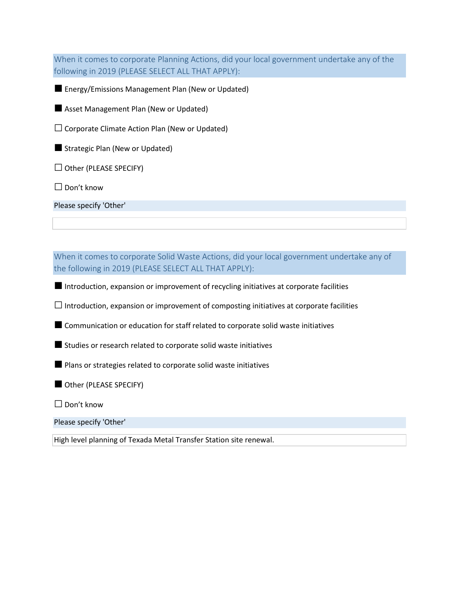When it comes to corporate Planning Actions, did your local government undertake any of the following in 2019 (PLEASE SELECT ALL THAT APPLY):

■ Energy/Emissions Management Plan (New or Updated)

■ Asset Management Plan (New or Updated)

 $\square$  Corporate Climate Action Plan (New or Updated)

■ Strategic Plan (New or Updated)

 $\Box$  Other (PLEASE SPECIFY)

□ Don't know

Please specify 'Other'

When it comes to corporate Solid Waste Actions, did your local government undertake any of the following in 2019 (PLEASE SELECT ALL THAT APPLY):

■ Introduction, expansion or improvement of recycling initiatives at corporate facilities

 $\Box$  Introduction, expansion or improvement of composting initiatives at corporate facilities

■ Communication or education for staff related to corporate solid waste initiatives

■ Studies or research related to corporate solid waste initiatives

■ Plans or strategies related to corporate solid waste initiatives

■ Other (PLEASE SPECIFY)

□ Don't know

Please specify 'Other'

High level planning of Texada Metal Transfer Station site renewal.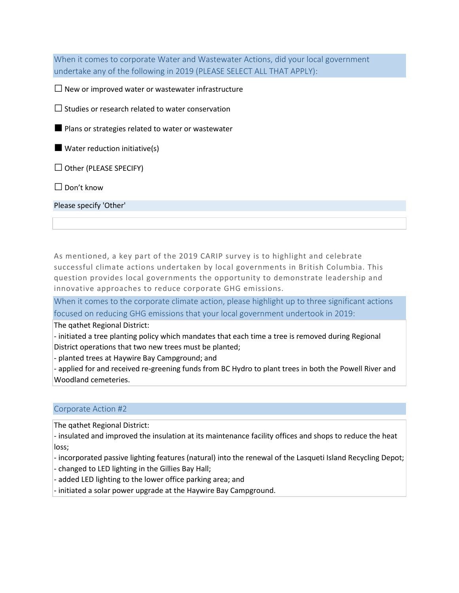When it comes to corporate Water and Wastewater Actions, did your local government undertake any of the following in 2019 (PLEASE SELECT ALL THAT APPLY):

 $\Box$  New or improved water or wastewater infrastructure

 $\square$  Studies or research related to water conservation

■ Plans or strategies related to water or wastewater

■ Water reduction initiative(s)

 $\Box$  Other (PLEASE SPECIFY)

 $\Box$  Don't know

Please specify 'Other'

As mentioned, a key part of the 2019 CARIP survey is to highlight and celebrate successful climate actions undertaken by local governments in British Columbia. This question provides local governments the opportunity to demonstrate leadership and innovative approaches to reduce corporate GHG emissions.

When it comes to the corporate climate action, please highlight up to three significant actions focused on reducing GHG emissions that your local government undertook in 2019:

The qathet Regional District:

- initiated a tree planting policy which mandates that each time a tree is removed during Regional District operations that two new trees must be planted;

- planted trees at Haywire Bay Campground; and

- applied for and received re-greening funds from BC Hydro to plant trees in both the Powell River and Woodland cemeteries.

#### Corporate Action #2

The qathet Regional District:

- insulated and improved the insulation at its maintenance facility offices and shops to reduce the heat loss;

- incorporated passive lighting features (natural) into the renewal of the Lasqueti Island Recycling Depot; - changed to LED lighting in the Gillies Bay Hall;

- added LED lighting to the lower office parking area; and

- initiated a solar power upgrade at the Haywire Bay Campground.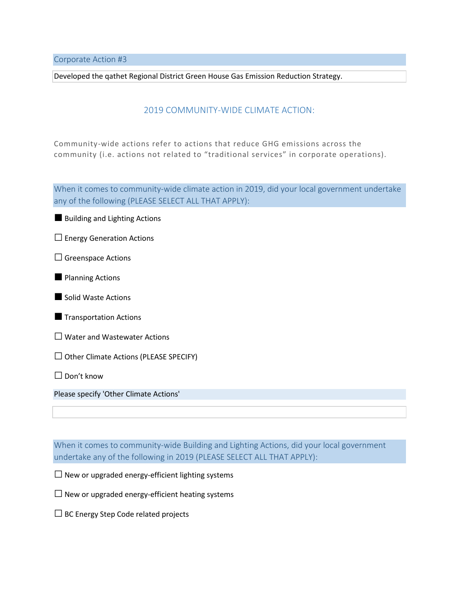Corporate Action #3

Developed the qathet Regional District Green House Gas Emission Reduction Strategy.

#### 2019 COMMUNITY-WIDE CLIMATE ACTION:

Community-wide actions refer to actions that reduce GHG emissions across the community (i.e. actions not related to "traditional services" in corporate operations).

When it comes to community-wide climate action in 2019, did your local government undertake any of the following (PLEASE SELECT ALL THAT APPLY):

■ Building and Lighting Actions

- $\square$  Energy Generation Actions
- □ Greenspace Actions
- **Planning Actions**

■ Solid Waste Actions

- **Transportation Actions**
- $\square$  Water and Wastewater Actions
- $\Box$  Other Climate Actions (PLEASE SPECIFY)

 $\Box$  Don't know

Please specify 'Other Climate Actions'

When it comes to community-wide Building and Lighting Actions, did your local government undertake any of the following in 2019 (PLEASE SELECT ALL THAT APPLY):

 $\square$  New or upgraded energy-efficient lighting systems

 $\square$  New or upgraded energy-efficient heating systems

 $\Box$  BC Energy Step Code related projects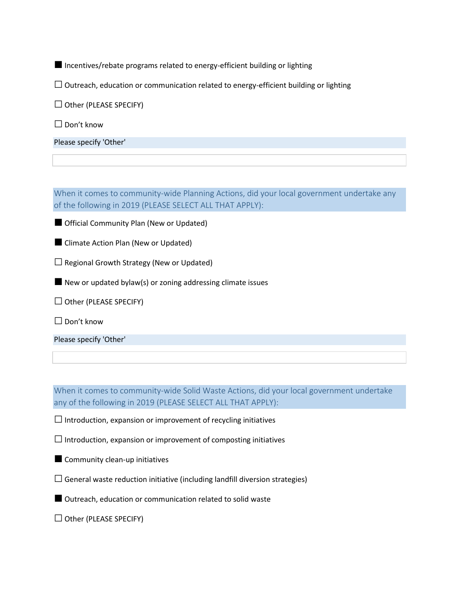■ Incentives/rebate programs related to energy-efficient building or lighting

 $\Box$  Outreach, education or communication related to energy-efficient building or lighting

 $\Box$  Other (PLEASE SPECIFY)

□ Don't know

Please specify 'Other'

When it comes to community-wide Planning Actions, did your local government undertake any of the following in 2019 (PLEASE SELECT ALL THAT APPLY):

■ Official Community Plan (New or Updated)

■ Climate Action Plan (New or Updated)

 $\Box$  Regional Growth Strategy (New or Updated)

■ New or updated bylaw(s) or zoning addressing climate issues

 $\Box$  Other (PLEASE SPECIFY)

□ Don't know

Please specify 'Other'

When it comes to community-wide Solid Waste Actions, did your local government undertake any of the following in 2019 (PLEASE SELECT ALL THAT APPLY):

 $\square$  Introduction, expansion or improvement of recycling initiatives

 $\square$  Introduction, expansion or improvement of composting initiatives

■ Community clean-up initiatives

 $\square$  General waste reduction initiative (including landfill diversion strategies)

■ Outreach, education or communication related to solid waste

 $\Box$  Other (PLEASE SPECIFY)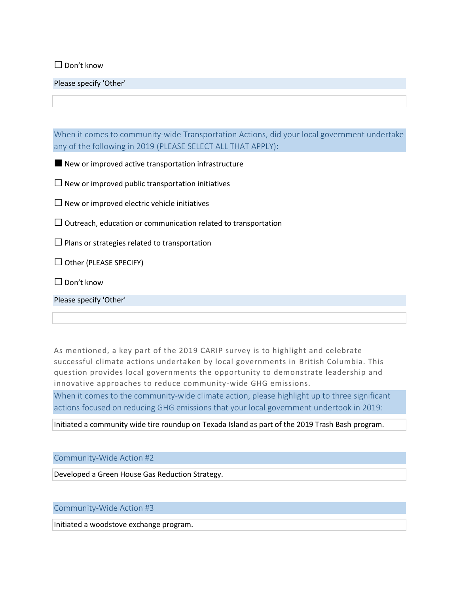□ Don't know

Please specify 'Other'

When it comes to community-wide Transportation Actions, did your local government undertake any of the following in 2019 (PLEASE SELECT ALL THAT APPLY):

■ New or improved active transportation infrastructure

 $\Box$  New or improved public transportation initiatives

 $\square$  New or improved electric vehicle initiatives

 $\Box$  Outreach, education or communication related to transportation

 $\square$  Plans or strategies related to transportation

 $\Box$  Other (PLEASE SPECIFY)

 $\square$  Don't know

Please specify 'Other'

As mentioned, a key part of the 2019 CARIP survey is to highlight and celebrate successful climate actions undertaken by local governments in British Columbia. This question provides local governments the opportunity to demonstrate leadership and innovative approaches to reduce community -wide GHG emissions.

When it comes to the community-wide climate action, please highlight up to three significant actions focused on reducing GHG emissions that your local government undertook in 2019:

Initiated a community wide tire roundup on Texada Island as part of the 2019 Trash Bash program.

#### Community-Wide Action #2

Developed a Green House Gas Reduction Strategy.

#### Community-Wide Action #3

Initiated a woodstove exchange program.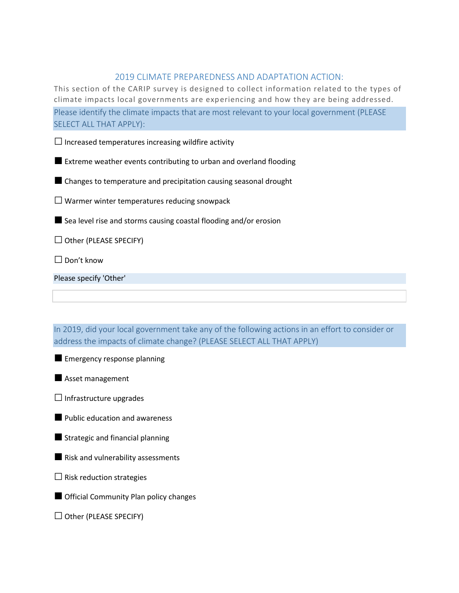#### 2019 CLIMATE PREPAREDNESS AND ADAPTATION ACTION:

This section of the CARIP survey is designed to collect information related to the types of climate impacts local governments are experiencing and how they are being addressed. Please identify the climate impacts that are most relevant to your local government (PLEASE SELECT ALL THAT APPLY):

 $\square$  Increased temperatures increasing wildfire activity

■ Extreme weather events contributing to urban and overland flooding

■ Changes to temperature and precipitation causing seasonal drought

 $\square$  Warmer winter temperatures reducing snowpack

■ Sea level rise and storms causing coastal flooding and/or erosion

 $\Box$  Other (PLEASE SPECIFY)

□ Don't know

Please specify 'Other'

In 2019, did your local government take any of the following actions in an effort to consider or address the impacts of climate change? (PLEASE SELECT ALL THAT APPLY)

**Emergency response planning** 

■ Asset management

 $\Box$  Infrastructure upgrades

■ Public education and awareness

■ Strategic and financial planning

■ Risk and vulnerability assessments

 $\square$  Risk reduction strategies

■ Official Community Plan policy changes

 $\Box$  Other (PLEASE SPECIFY)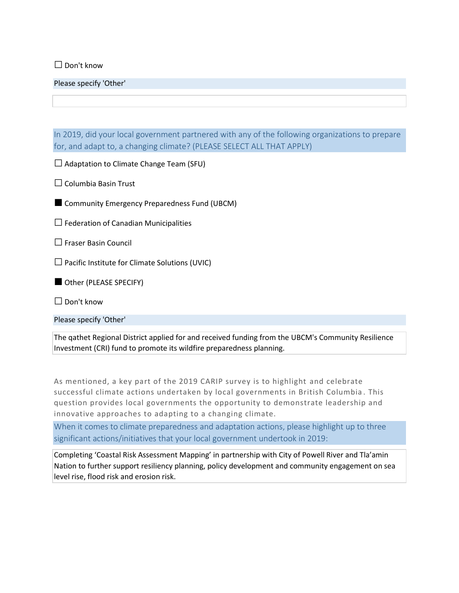□ Don't know

Please specify 'Other'

In 2019, did your local government partnered with any of the following organizations to prepare for, and adapt to, a changing climate? (PLEASE SELECT ALL THAT APPLY)

 $\Box$  Adaptation to Climate Change Team (SFU)

 $\Box$  Columbia Basin Trust

■ Community Emergency Preparedness Fund (UBCM)

 $\Box$  Federation of Canadian Municipalities

□ Fraser Basin Council

 $\square$  Pacific Institute for Climate Solutions (UVIC)

■ Other (PLEASE SPECIFY)

□ Don't know

Please specify 'Other'

The qathet Regional District applied for and received funding from the UBCM's Community Resilience Investment (CRI) fund to promote its wildfire preparedness planning.

As mentioned, a key part of the 2019 CARIP survey is to highlight and celebrate successful climate actions undertaken by local governments in British Columbia . This question provides local governments the opportunity to demonstrate leadership and innovative approaches to adapting to a changing climate.

When it comes to climate preparedness and adaptation actions, please highlight up to three significant actions/initiatives that your local government undertook in 2019:

Completing 'Coastal Risk Assessment Mapping' in partnership with City of Powell River and Tla'amin Nation to further support resiliency planning, policy development and community engagement on sea level rise, flood risk and erosion risk.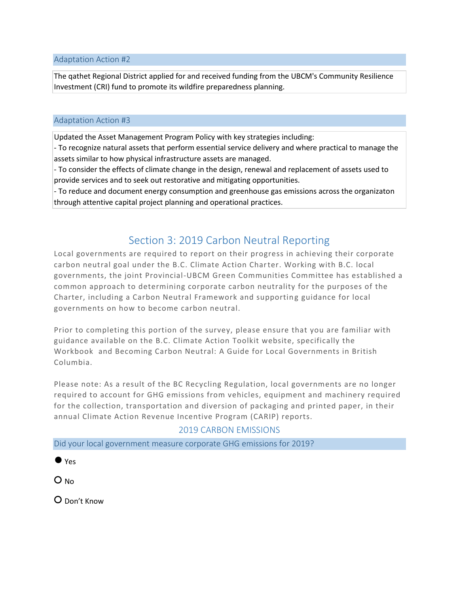Adaptation Action #2

The qathet Regional District applied for and received funding from the UBCM's Community Resilience Investment (CRI) fund to promote its wildfire preparedness planning.

#### Adaptation Action #3

Updated the Asset Management Program Policy with key strategies including:

- To recognize natural assets that perform essential service delivery and where practical to manage the assets similar to how physical infrastructure assets are managed.

- To consider the effects of climate change in the design, renewal and replacement of assets used to provide services and to seek out restorative and mitigating opportunities.

- To reduce and document energy consumption and greenhouse gas emissions across the organizaton through attentive capital project planning and operational practices.

### Section 3: 2019 Carbon Neutral Reporting

Local governments are required to report on their progress in achieving their corporate carbon neutral goal under the B.C. Climate Action Charter. Working with B.C. local governments, the joint Provincial-UBCM Green Communities Committee has established a common approach to determining corporate carbon neutrality for the purposes of the Charter, including a Carbon Neutral Framework and supporting guidance for local governments on how to become carbon neutral.

Prior to completing this portion of the survey, please ensure that you are familiar with guidance available on the B.C. Climate Action Toolkit website, specifically the Workbook and Becoming Carbon Neutral: A Guide for Local Governments in British Columbia.

Please note: As a result of the BC Recycling Regulation, local governments are no longer required to account for GHG emissions from vehicles, equipment and machinery required for the collection, transportation and diversion of packaging and printed paper, in their annual Climate Action Revenue Incentive Program (CARIP) reports.

#### 2019 CARBON EMISSIONS

Did your local government measure corporate GHG emissions for 2019?

 $\bullet$  Yes

O No

○ Don't Know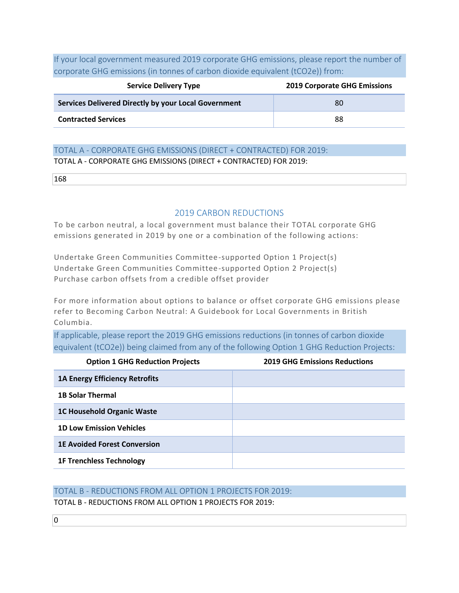If your local government measured 2019 corporate GHG emissions, please report the number of corporate GHG emissions (in tonnes of carbon dioxide equivalent (tCO2e)) from:

| <b>Service Delivery Type</b>                         | <b>2019 Corporate GHG Emissions</b> |
|------------------------------------------------------|-------------------------------------|
| Services Delivered Directly by your Local Government | 80                                  |
| <b>Contracted Services</b>                           | 88                                  |

#### TOTAL A - CORPORATE GHG EMISSIONS (DIRECT + CONTRACTED) FOR 2019:

TOTAL A - CORPORATE GHG EMISSIONS (DIRECT + CONTRACTED) FOR 2019:

#### 2019 CARBON REDUCTIONS

To be carbon neutral, a local government must balance their TOTAL corporate GHG emissions generated in 2019 by one or a combination of the following actions:

Undertake Green Communities Committee-supported Option 1 Project(s) Undertake Green Communities Committee-supported Option 2 Project(s) Purchase carbon offsets from a credible offset provider

For more information about options to balance or offset corporate GHG emissions please refer to Becoming Carbon Neutral: A Guidebook for Local Governments in British Columbia.

If applicable, please report the 2019 GHG emissions reductions (in tonnes of carbon dioxide equivalent (tCO2e)) being claimed from any of the following Option 1 GHG Reduction Projects:

| <b>Option 1 GHG Reduction Projects</b> | <b>2019 GHG Emissions Reductions</b> |
|----------------------------------------|--------------------------------------|
| <b>1A Energy Efficiency Retrofits</b>  |                                      |
| <b>1B Solar Thermal</b>                |                                      |
| <b>1C Household Organic Waste</b>      |                                      |
| <b>1D Low Emission Vehicles</b>        |                                      |
| <b>1E Avoided Forest Conversion</b>    |                                      |
| <b>1F Trenchless Technology</b>        |                                      |

#### TOTAL B - REDUCTIONS FROM ALL OPTION 1 PROJECTS FOR 2019:

TOTAL B - REDUCTIONS FROM ALL OPTION 1 PROJECTS FOR 2019: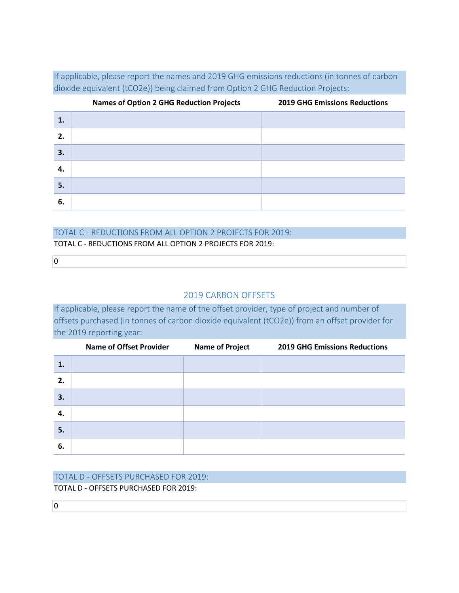If applicable, please report the names and 2019 GHG emissions reductions (in tonnes of carbon dioxide equivalent (tCO2e)) being claimed from Option 2 GHG Reduction Projects:

|    | <b>Names of Option 2 GHG Reduction Projects</b> | <b>2019 GHG Emissions Reductions</b> |
|----|-------------------------------------------------|--------------------------------------|
| 1. |                                                 |                                      |
| 2. |                                                 |                                      |
| 3. |                                                 |                                      |
| 4. |                                                 |                                      |
| 5. |                                                 |                                      |
| 6. |                                                 |                                      |

#### TOTAL C - REDUCTIONS FROM ALL OPTION 2 PROJECTS FOR 2019:

TOTAL C - REDUCTIONS FROM ALL OPTION 2 PROJECTS FOR 2019:

 $\overline{0}$ 

#### 2019 CARBON OFFSETS

If applicable, please report the name of the offset provider, type of project and number of offsets purchased (in tonnes of carbon dioxide equivalent (tCO2e)) from an offset provider for the 2019 reporting year:

|    | <b>Name of Offset Provider</b> | <b>Name of Project</b> | <b>2019 GHG Emissions Reductions</b> |
|----|--------------------------------|------------------------|--------------------------------------|
| 1. |                                |                        |                                      |
| 2. |                                |                        |                                      |
| 3. |                                |                        |                                      |
| 4. |                                |                        |                                      |
| 5. |                                |                        |                                      |
| 6. |                                |                        |                                      |

## TOTAL D - OFFSETS PURCHASED FOR 2019:

TOTAL D - OFFSETS PURCHASED FOR 2019:

 $\overline{0}$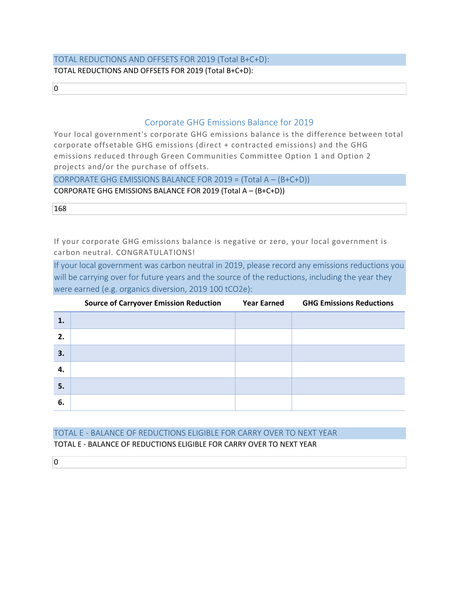#### TOTAL REDUCTIONS AND OFFSETS FOR 2019 (Total B+C+D): TOTAL REDUCTIONS AND OFFSETS FOR 2019 (Total B+C+D):

 $\overline{0}$ 

#### Corporate GHG Emissions Balance for 2019

Your local government's corporate GHG emissions balance is the difference between total corporate offsetable GHG emissions (direct + contracted emissions) and the GHG emissions reduced through Green Communities Committee Option 1 and Option 2 projects and/or the purchase of offsets.

CORPORATE GHG EMISSIONS BALANCE FOR 2019 = (Total A – (B+C+D))

CORPORATE GHG EMISSIONS BALANCE FOR 2019 (Total A – (B+C+D))

168

If your corporate GHG emissions balance is negative or zero, your local government is carbon neutral. CONGRATULATIONS!

If your local government was carbon neutral in 2019, please record any emissions reductions you will be carrying over for future years and the source of the reductions, including the year they were earned (e.g. organics diversion, 2019 100 tCO2e):

|    | <b>Source of Carryover Emission Reduction</b> | <b>Year Earned</b> | <b>GHG Emissions Reductions</b> |
|----|-----------------------------------------------|--------------------|---------------------------------|
| 1. |                                               |                    |                                 |
| 2. |                                               |                    |                                 |
| 3. |                                               |                    |                                 |
| 4. |                                               |                    |                                 |
| 5. |                                               |                    |                                 |
| 6. |                                               |                    |                                 |

#### TOTAL E - BALANCE OF REDUCTIONS ELIGIBLE FOR CARRY OVER TO NEXT YEAR TOTAL E - BALANCE OF REDUCTIONS ELIGIBLE FOR CARRY OVER TO NEXT YEAR

 $\overline{0}$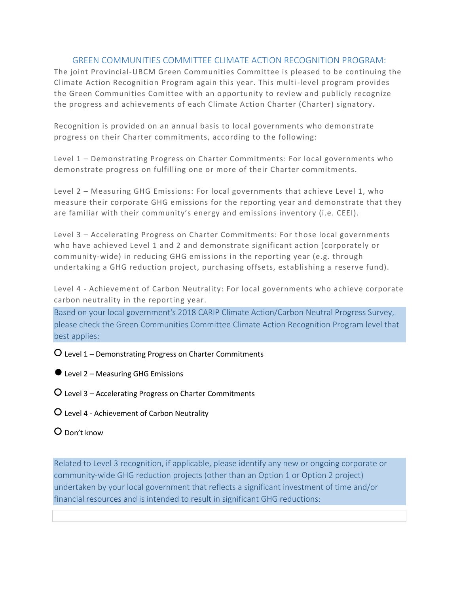#### GREEN COMMUNITIES COMMITTEE CLIMATE ACTION RECOGNITION PROGRAM:

The joint Provincial-UBCM Green Communities Committee is pleased to be continuing the Climate Action Recognition Program again this year. This multi-level program provides the Green Communities Comittee with an opportunity to review and publicly recognize the progress and achievements of each Climate Action Charter (Charter) signatory.

Recognition is provided on an annual basis to local governments who demonstrate progress on their Charter commitments, according to the following:

Level 1 – Demonstrating Progress on Charter Commitments: For local governments who demonstrate progress on fulfilling one or more of their Charter commitments.

Level 2 – Measuring GHG Emissions: For local governments that achieve Level 1, who measure their corporate GHG emissions for the reporting year and demonstrate that they are familiar with their community's energy and emissions inventory (i.e. CEEI).

Level 3 – Accelerating Progress on Charter Commitments: For those local governments who have achieved Level 1 and 2 and demonstrate significant action (corporately or community-wide) in reducing GHG emissions in the reporting year (e.g. through undertaking a GHG reduction project, purchasing offsets, establishing a reserve fund).

Level 4 - Achievement of Carbon Neutrality: For local governments who achieve corporate carbon neutrality in the reporting year.

Based on your local government's 2018 CARIP Climate Action/Carbon Neutral Progress Survey, please check the Green Communities Committee Climate Action Recognition Program level that best applies:

○ Level 1 – Demonstrating Progress on Charter Commitments

 $\bullet$  Level 2 – Measuring GHG Emissions

○ Level 3 – Accelerating Progress on Charter Commitments

○ Level 4 - Achievement of Carbon Neutrality

○ Don't know

Related to Level 3 recognition, if applicable, please identify any new or ongoing corporate or community-wide GHG reduction projects (other than an Option 1 or Option 2 project) undertaken by your local government that reflects a significant investment of time and/or financial resources and is intended to result in significant GHG reductions: